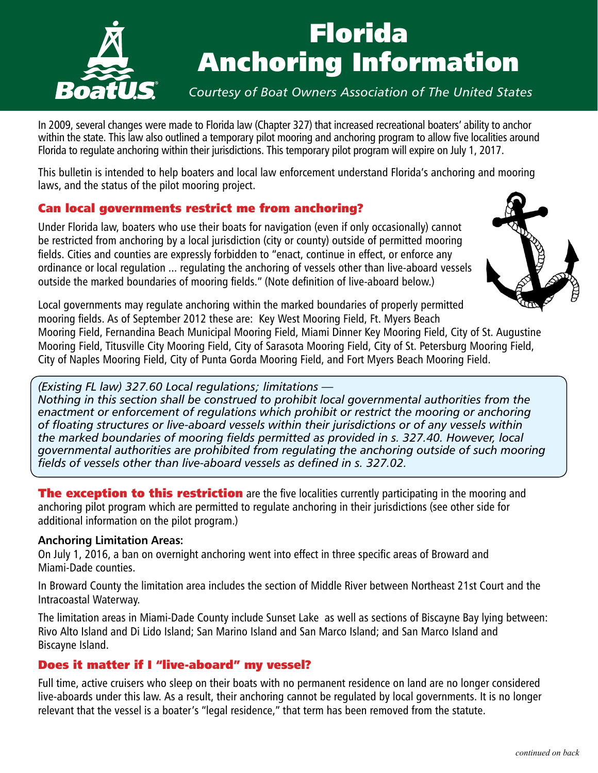

# Florida Anchoring Information

## *Courtesy of Boat Owners Association of The United States*

In 2009, several changes were made to Florida law (Chapter 327) that increased recreational boaters' ability to anchor within the state. This law also outlined a temporary pilot mooring and anchoring program to allow five localities around Florida to regulate anchoring within their jurisdictions. This temporary pilot program will expire on July 1, 2017.

This bulletin is intended to help boaters and local law enforcement understand Florida's anchoring and mooring laws, and the status of the pilot mooring project.

## Can local governments restrict me from anchoring?

Under Florida law, boaters who use their boats for navigation (even if only occasionally) cannot be restricted from anchoring by a local jurisdiction (city or county) outside of permitted mooring fields. Cities and counties are expressly forbidden to "enact, continue in effect, or enforce any ordinance or local regulation ... regulating the anchoring of vessels other than live-aboard vessels outside the marked boundaries of mooring fields." (Note definition of live-aboard below.)



Local governments may regulate anchoring within the marked boundaries of properly permitted mooring fields. As of September 2012 these are: Key West Mooring Field, Ft. Myers Beach Mooring Field, Fernandina Beach Municipal Mooring Field, Miami Dinner Key Mooring Field, City of St. Augustine

Mooring Field, Titusville City Mooring Field, City of Sarasota Mooring Field, City of St. Petersburg Mooring Field, City of Naples Mooring Field, City of Punta Gorda Mooring Field, and Fort Myers Beach Mooring Field.

#### *(Existing FL law) 327.60 Local regulations; limitations —*

*Nothing in this section shall be construed to prohibit local governmental authorities from the*  enactment or enforcement of regulations which prohibit or restrict the mooring or anchoring *of floating structures or live-aboard vessels within their jurisdictions or of any vessels within the marked boundaries of mooring fields permitted as provided in s. 327.40. However, local governmental authorities are prohibited from regulating the anchoring outside of such mooring fields of vessels other than live-aboard vessels as defined in s. 327.02.*

**The exception to this restriction** are the five localities currently participating in the mooring and anchoring pilot program which are permitted to regulate anchoring in their jurisdictions (see other side for additional information on the pilot program.)

#### **Anchoring Limitation Areas:**

On July 1, 2016, a ban on overnight anchoring went into effect in three specific areas of Broward and Miami-Dade counties.

In Broward County the limitation area includes the section of Middle River between Northeast 21st Court and the Intracoastal Waterway.

The limitation areas in Miami-Dade County include Sunset Lake as well as sections of Biscayne Bay lying between: Rivo Alto Island and Di Lido Island; San Marino Island and San Marco Island; and San Marco Island and Biscayne Island.

## Does it matter if I "live-aboard" my vessel?

Full time, active cruisers who sleep on their boats with no permanent residence on land are no longer considered live-aboards under this law. As a result, their anchoring cannot be regulated by local governments. It is no longer relevant that the vessel is a boater's "legal residence," that term has been removed from the statute.